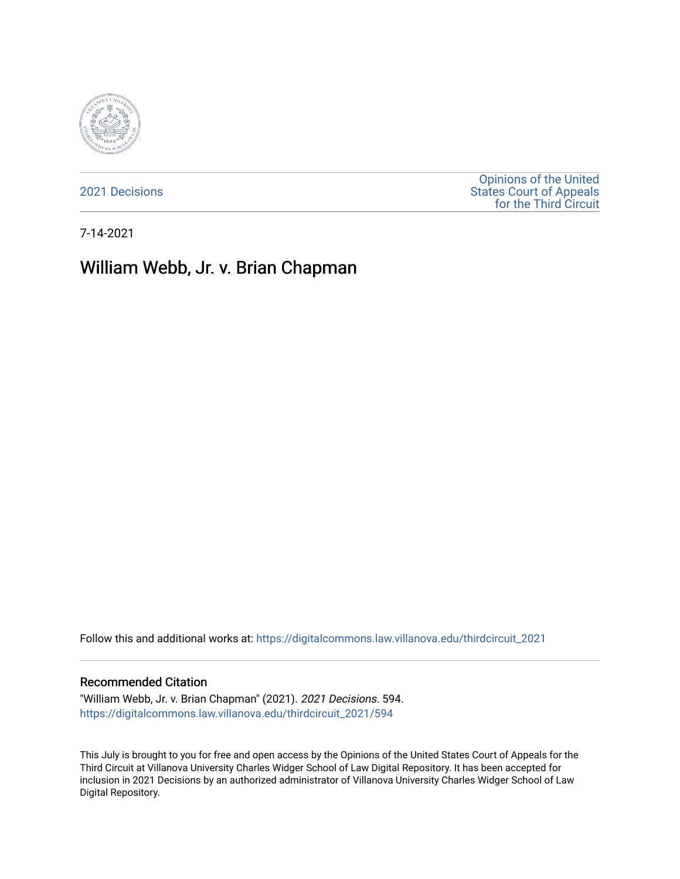

[2021 Decisions](https://digitalcommons.law.villanova.edu/thirdcircuit_2021)

[Opinions of the United](https://digitalcommons.law.villanova.edu/thirdcircuit)  [States Court of Appeals](https://digitalcommons.law.villanova.edu/thirdcircuit)  [for the Third Circuit](https://digitalcommons.law.villanova.edu/thirdcircuit) 

7-14-2021

# William Webb, Jr. v. Brian Chapman

Follow this and additional works at: [https://digitalcommons.law.villanova.edu/thirdcircuit\\_2021](https://digitalcommons.law.villanova.edu/thirdcircuit_2021?utm_source=digitalcommons.law.villanova.edu%2Fthirdcircuit_2021%2F594&utm_medium=PDF&utm_campaign=PDFCoverPages) 

#### Recommended Citation

"William Webb, Jr. v. Brian Chapman" (2021). 2021 Decisions. 594. [https://digitalcommons.law.villanova.edu/thirdcircuit\\_2021/594](https://digitalcommons.law.villanova.edu/thirdcircuit_2021/594?utm_source=digitalcommons.law.villanova.edu%2Fthirdcircuit_2021%2F594&utm_medium=PDF&utm_campaign=PDFCoverPages)

This July is brought to you for free and open access by the Opinions of the United States Court of Appeals for the Third Circuit at Villanova University Charles Widger School of Law Digital Repository. It has been accepted for inclusion in 2021 Decisions by an authorized administrator of Villanova University Charles Widger School of Law Digital Repository.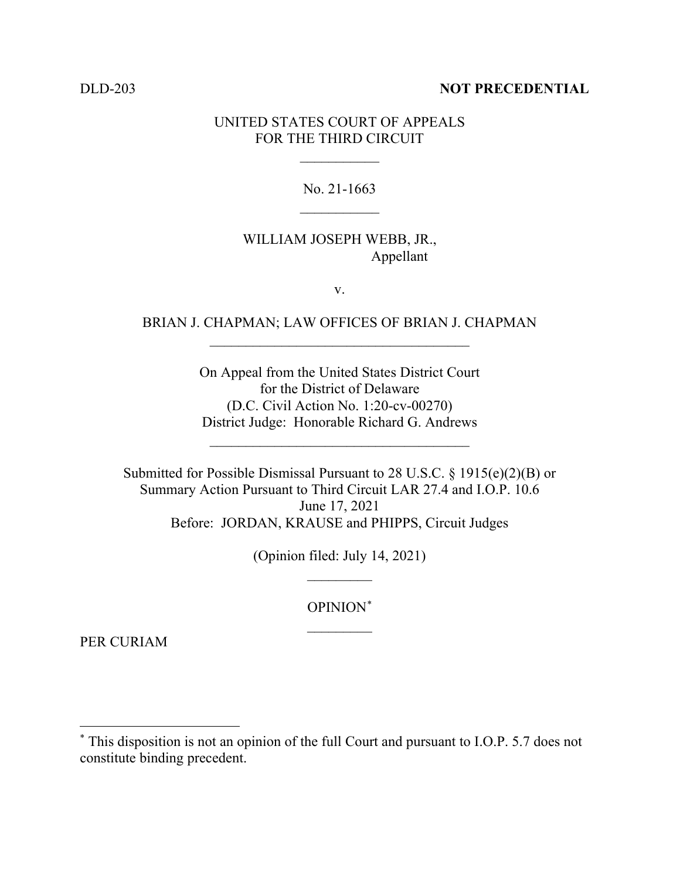#### DLD-203 **NOT PRECEDENTIAL**

### UNITED STATES COURT OF APPEALS FOR THE THIRD CIRCUIT

 $\frac{1}{2}$ 

# No. 21-1663  $\overline{\phantom{a}}$

# WILLIAM JOSEPH WEBB, JR., Appellant

v.

# BRIAN J. CHAPMAN; LAW OFFICES OF BRIAN J. CHAPMAN \_\_\_\_\_\_\_\_\_\_\_\_\_\_\_\_\_\_\_\_\_\_\_\_\_\_\_\_\_\_\_\_\_\_\_\_

On Appeal from the United States District Court for the District of Delaware (D.C. Civil Action No. 1:20-cv-00270) District Judge: Honorable Richard G. Andrews

 $\mathcal{L}_\text{max}$  and  $\mathcal{L}_\text{max}$  and  $\mathcal{L}_\text{max}$  and  $\mathcal{L}_\text{max}$ 

Submitted for Possible Dismissal Pursuant to 28 U.S.C. § 1915(e)(2)(B) or Summary Action Pursuant to Third Circuit LAR 27.4 and I.O.P. 10.6 June 17, 2021 Before: JORDAN, KRAUSE and PHIPPS, Circuit Judges

> (Opinion filed: July 14, 2021)  $\overline{\phantom{a}}$

> > OPINION\*  $\overline{\phantom{a}}$

PER CURIAM

<sup>\*</sup> This disposition is not an opinion of the full Court and pursuant to I.O.P. 5.7 does not constitute binding precedent.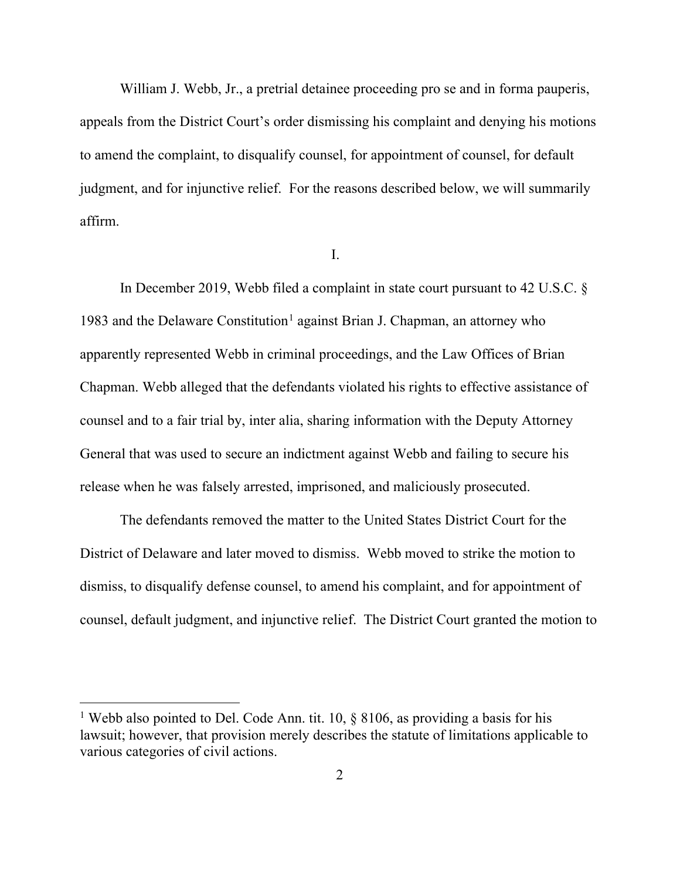William J. Webb, Jr., a pretrial detainee proceeding pro se and in forma pauperis, appeals from the District Court's order dismissing his complaint and denying his motions to amend the complaint, to disqualify counsel, for appointment of counsel, for default judgment, and for injunctive relief. For the reasons described below, we will summarily affirm.

I.

In December 2019, Webb filed a complaint in state court pursuant to 42 U.S.C. § 1983 and the Delaware Constitution<sup>1</sup> against Brian J. Chapman, an attorney who apparently represented Webb in criminal proceedings, and the Law Offices of Brian Chapman. Webb alleged that the defendants violated his rights to effective assistance of counsel and to a fair trial by, inter alia, sharing information with the Deputy Attorney General that was used to secure an indictment against Webb and failing to secure his release when he was falsely arrested, imprisoned, and maliciously prosecuted.

The defendants removed the matter to the United States District Court for the District of Delaware and later moved to dismiss. Webb moved to strike the motion to dismiss, to disqualify defense counsel, to amend his complaint, and for appointment of counsel, default judgment, and injunctive relief. The District Court granted the motion to

<sup>&</sup>lt;sup>1</sup> Webb also pointed to Del. Code Ann. tit. 10,  $\S$  8106, as providing a basis for his lawsuit; however, that provision merely describes the statute of limitations applicable to various categories of civil actions.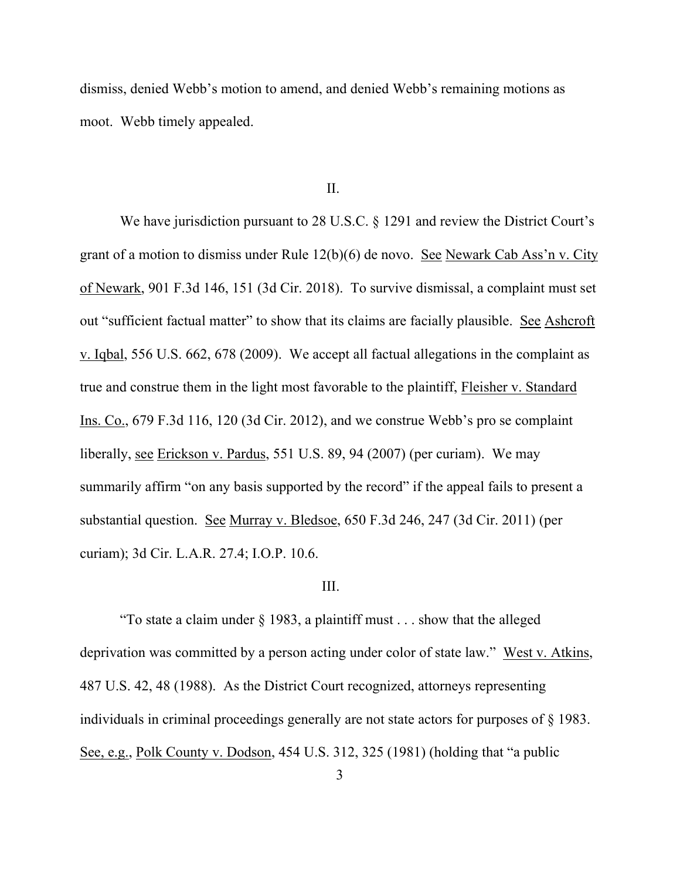dismiss, denied Webb's motion to amend, and denied Webb's remaining motions as moot. Webb timely appealed.

II.

We have jurisdiction pursuant to 28 U.S.C. § 1291 and review the District Court's grant of a motion to dismiss under Rule 12(b)(6) de novo. See Newark Cab Ass'n v. City of Newark, 901 F.3d 146, 151 (3d Cir. 2018). To survive dismissal, a complaint must set out "sufficient factual matter" to show that its claims are facially plausible. See Ashcroft v. Iqbal, 556 U.S. 662, 678 (2009). We accept all factual allegations in the complaint as true and construe them in the light most favorable to the plaintiff, Fleisher v. Standard Ins. Co., 679 F.3d 116, 120 (3d Cir. 2012), and we construe Webb's pro se complaint liberally, see Erickson v. Pardus, 551 U.S. 89, 94 (2007) (per curiam). We may summarily affirm "on any basis supported by the record" if the appeal fails to present a substantial question. See Murray v. Bledsoe, 650 F.3d 246, 247 (3d Cir. 2011) (per curiam); 3d Cir. L.A.R. 27.4; I.O.P. 10.6.

#### III.

"To state a claim under  $\S$  1983, a plaintiff must . . . show that the alleged deprivation was committed by a person acting under color of state law." West v. Atkins, 487 U.S. 42, 48 (1988). As the District Court recognized, attorneys representing individuals in criminal proceedings generally are not state actors for purposes of § 1983. See, e.g., Polk County v. Dodson, 454 U.S. 312, 325 (1981) (holding that "a public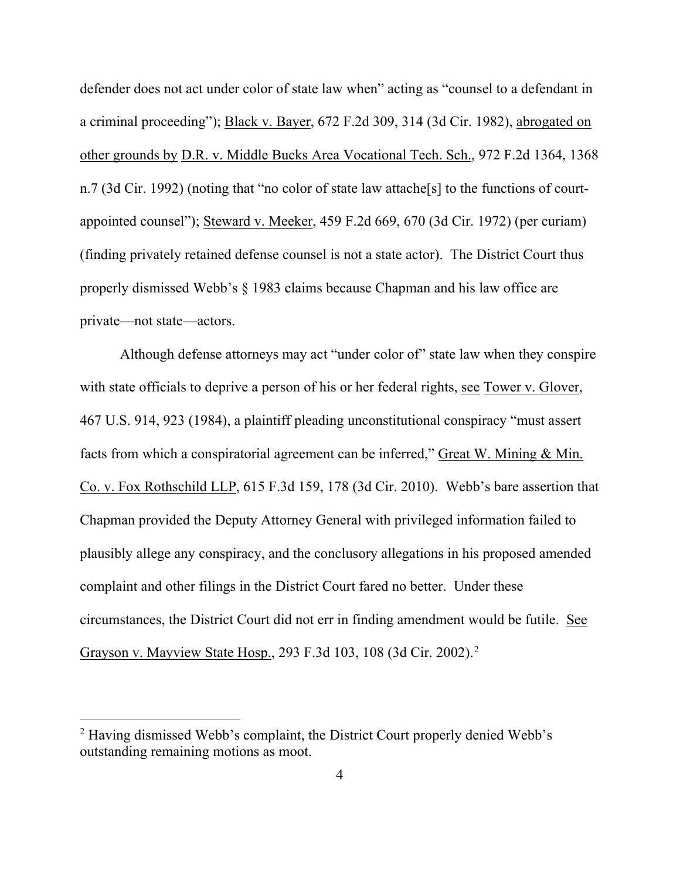defender does not act under color of state law when" acting as "counsel to a defendant in a criminal proceeding"); Black v. Bayer, 672 F.2d 309, 314 (3d Cir. 1982), abrogated on other grounds by D.R. v. Middle Bucks Area Vocational Tech. Sch., 972 F.2d 1364, 1368 n.7 (3d Cir. 1992) (noting that "no color of state law attache[s] to the functions of courtappointed counsel"); Steward v. Meeker, 459 F.2d 669, 670 (3d Cir. 1972) (per curiam) (finding privately retained defense counsel is not a state actor). The District Court thus properly dismissed Webb's § 1983 claims because Chapman and his law office are private—not state—actors.

Although defense attorneys may act "under color of" state law when they conspire with state officials to deprive a person of his or her federal rights, see Tower v. Glover, 467 U.S. 914, 923 (1984), a plaintiff pleading unconstitutional conspiracy "must assert facts from which a conspiratorial agreement can be inferred," Great W. Mining & Min. Co. v. Fox Rothschild LLP, 615 F.3d 159, 178 (3d Cir. 2010). Webb's bare assertion that Chapman provided the Deputy Attorney General with privileged information failed to plausibly allege any conspiracy, and the conclusory allegations in his proposed amended complaint and other filings in the District Court fared no better. Under these circumstances, the District Court did not err in finding amendment would be futile. See Grayson v. Mayview State Hosp., 293 F.3d 103, 108 (3d Cir. 2002). 2

<sup>2</sup> Having dismissed Webb's complaint, the District Court properly denied Webb's outstanding remaining motions as moot.